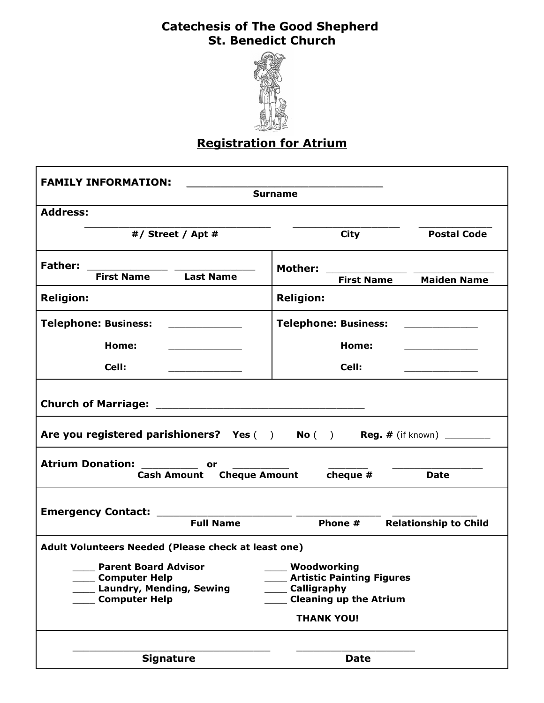## **Catechesis of The Good Shepherd St. Benedict Church**



## **Registration for Atrium**

| <b>FAMILY INFORMATION:</b><br><b>Surname</b>                                                                                                       |                                                                                                       |  |
|----------------------------------------------------------------------------------------------------------------------------------------------------|-------------------------------------------------------------------------------------------------------|--|
| <b>Address:</b>                                                                                                                                    |                                                                                                       |  |
| #/ Street / Apt #                                                                                                                                  | <b>Postal Code</b><br><b>City</b>                                                                     |  |
| <b>First Name</b> Last Name                                                                                                                        | Mother:<br><b>Maiden Name</b><br><b>First Name</b>                                                    |  |
| <b>Religion:</b>                                                                                                                                   | <b>Religion:</b>                                                                                      |  |
| <b>Telephone: Business:</b>                                                                                                                        | <b>Telephone: Business:</b>                                                                           |  |
| Home:<br>the control of the control of the control of                                                                                              | Home:                                                                                                 |  |
| Cell:                                                                                                                                              | Cell:                                                                                                 |  |
| Are you registered parishioners? Yes () No () Reg. # (if known)                                                                                    |                                                                                                       |  |
| Atrium Donation: ____________ or __________<br>Cash Amount Cheque Amount cheque #<br><b>Date</b>                                                   |                                                                                                       |  |
| Emergency Contact: _____________________________<br><b>Full Name</b><br><b>Relationship to Child</b><br>Phone #                                    |                                                                                                       |  |
| Adult Volunteers Needed (Please check at least one)                                                                                                |                                                                                                       |  |
| <b>Example 2 Parent Board Advisor CONSENSI</b> 2000 Moodworking<br><b>Computer Help</b><br><b>Laundry, Mending, Sewing</b><br><b>Computer Help</b> | <b>Artistic Painting Figures</b><br>Calligraphy<br><b>Cleaning up the Atrium</b><br><b>THANK YOU!</b> |  |
| <b>Signature</b>                                                                                                                                   | <b>Date</b>                                                                                           |  |